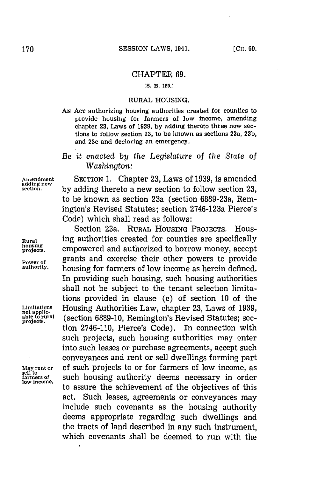## CHAPTER **69.**

## **[S. B. 185.)**

## RURAL **HOUSING.**

**AN ACT** authorizing housing authorities created for counties to provide housing for farmers of low income, amending chapter **23,** Lawvs of **1939, by** adding thereto three new sections to follow section **23,** to be known as sections 23a, **23b,** and 23c and declaring an emergency.

## *Be it enacted by the Legislature of* the *State of Washington:*

**sell to**

**Amendment** SECTION **1.** Chapter **23,** Laws of **1939,** is amended **adding new section. by** adding thereto a new section to follow section **23,** to be known as section 23a (section 6889-23a, Remington's Revised Statutes; section 2746-123a Pierce's Code) which shall read as follows:

Section 23a. RURAL **HOUSING PROJECTS.** Hous-**Rural** ing authorities created for counties are specifically **housing projects,** empowered and authorized to borrow money, accept **Power of** grants and exercise their other powers to provide **authority,** housing for farmers of low income as herein defined. In providing such housing, such housing authorities shall not be subject to the tenant selection limitations provided in clause **(c)** of section **10** of the Limitations **Housing Authorities Law, chapter 23, Laws of 1939,** able to rural (section 6889-10, Remington's Revised Statutes; sec-<br>projects. tion 2746-110, Pierce's Code). In connection with such projects, such housing authorities may cnter into such leases or purchase agreements, accept such conveyances and rent or sell dwellings forming part **May rent or** of such projects to or for farmers of low income, as **farmers of such housing authority deems necessary in order** low income. to assure the achievement of the objectives of this act. Such leases, agreements or conveyances may include such covenants as the housing authority deems appropriate regarding such dwellings and the tracts of land described in any such instrument, which covenants shall be deemed to run with the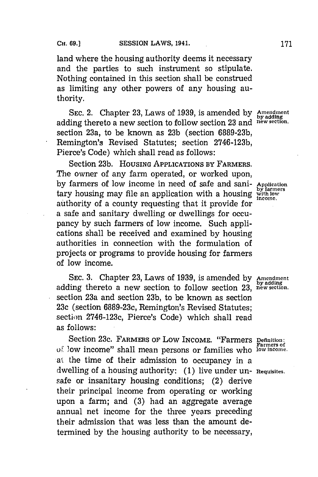land where the housing authority deems it necessary and the parties to such instrument so stipulate. Nothing contained in this section shall be construed as limiting any other powers of any housing authority.

**SEC. 2.** Chapter 23, Laws of 1939, is amended by Amendmen adding thereto a new section to follow section 23 and **new section** section 23a, to be known as **23b** (section **6889-23b,** Remington's Revised Statutes; section **2746-123b,** Pierce's Code) which shall read as follows:

Section **23b. HOusING, APPLICATIONS By FARMERS.** The owner of any farm operated, or worked upon, **by** farmers of low income in need of safe and sani- **Application** tary housing may file an application with a housing with the low authority of a county requesting that it provide for a safe and sanitary dwelling or dwellings for occupancy **by** such farmers of low income. Such applications shall be received and examined **by** housing authorities in connection with the formulation of projects or programs to provide housing for farmers of low income.

**SEC. 3.** Chapter **23,** Laws of **1939,** is amended **by Amendment** adding thereto a new section to follow section **23, new section.** section 23a and section **23b,** to be known as section **23c** (section 6889-23c, Remington's Revised Statutes; section 2746-123c, Pierce's Code) which shall read as follows:

Section **23c. FARMERS OF** Low **INCOME.** "Farmers **Definition: 0!1** ow income" shall mean persons or families who **low Income.** at the time of their admission to occupancy in a dwelling of a housing authority: **(1)** live under un- **Requisites.** safe or insanitary housing conditions; (2) derive their principal income from operating or working upon a farm; and **(3)** had an aggregate average annual net income for the three years preceding their admission that was less than the amount determined **by** the housing authority to be necessary,

Farmers of